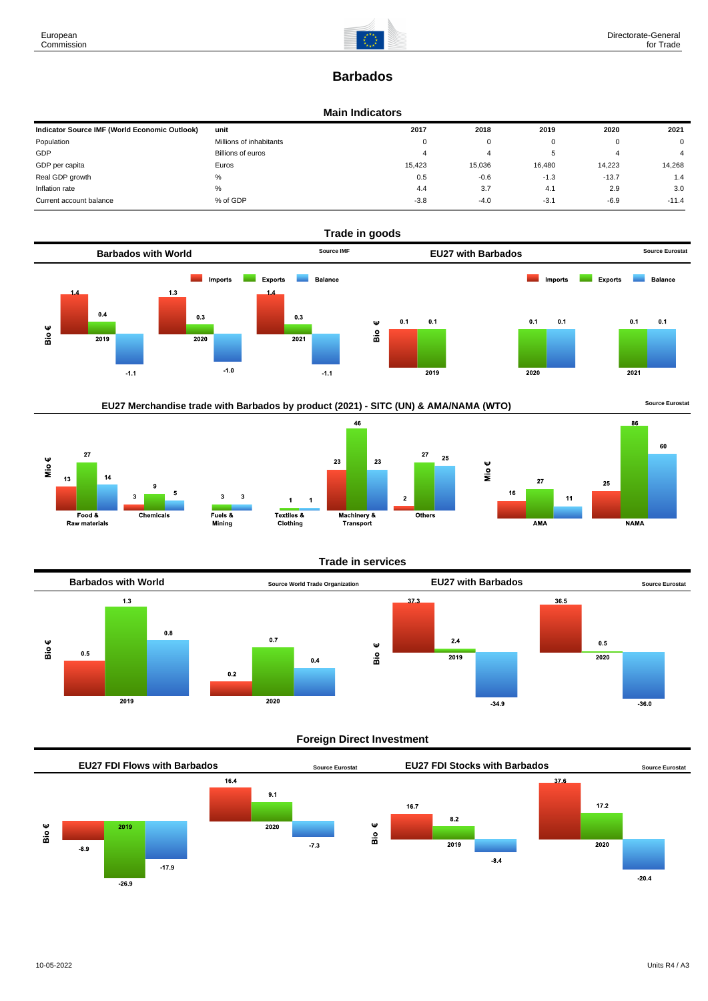# **Barbados**

#### **Main Indicators**

| Indicator Source IMF (World Economic Outlook) | unit                    | 2017     | 2018   | 2019   | 2020    | 2021           |
|-----------------------------------------------|-------------------------|----------|--------|--------|---------|----------------|
| Population                                    | Millions of inhabitants | $\Omega$ | 0      |        |         | $\mathbf 0$    |
| GDP                                           | Billions of euros       |          |        |        | 4       | $\overline{4}$ |
| GDP per capita                                | Euros                   | 15.423   | 15,036 | 16,480 | 14.223  | 14,268         |
| Real GDP growth                               | %                       | 0.5      | $-0.6$ | $-1.3$ | $-13.7$ | 1.4            |
| Inflation rate                                | $\%$                    | 4.4      | 3.7    | 4.1    | 2.9     | 3.0            |
| Current account balance                       | % of GDP                | $-3.8$   | $-4.0$ | $-3.1$ | $-6.9$  | $-11.4$        |



46









### **Trade in services**

 $\overline{2}$ 



### **Foreign Direct Investment**